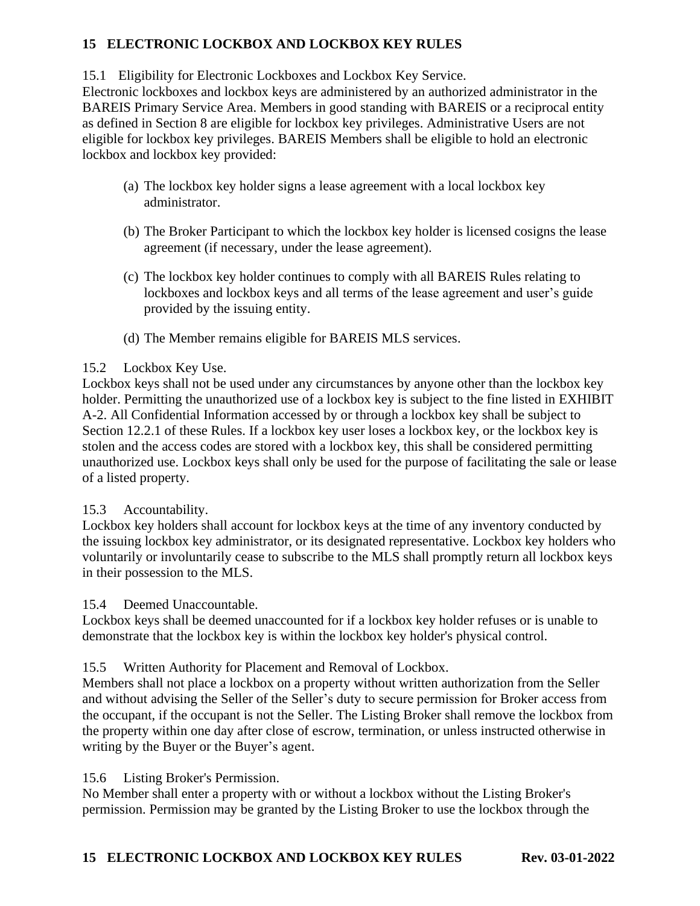# **15 ELECTRONIC LOCKBOX AND LOCKBOX KEY RULES**

15.1 Eligibility for Electronic Lockboxes and Lockbox Key Service.

Electronic lockboxes and lockbox keys are administered by an authorized administrator in the BAREIS Primary Service Area. Members in good standing with BAREIS or a reciprocal entity as defined in Section 8 are eligible for lockbox key privileges. Administrative Users are not eligible for lockbox key privileges. BAREIS Members shall be eligible to hold an electronic lockbox and lockbox key provided:

- (a) The lockbox key holder signs a lease agreement with a local lockbox key administrator.
- (b) The Broker Participant to which the lockbox key holder is licensed cosigns the lease agreement (if necessary, under the lease agreement).
- (c) The lockbox key holder continues to comply with all BAREIS Rules relating to lockboxes and lockbox keys and all terms of the lease agreement and user's guide provided by the issuing entity.
- (d) The Member remains eligible for BAREIS MLS services.

# 15.2 Lockbox Key Use.

Lockbox keys shall not be used under any circumstances by anyone other than the lockbox key holder. Permitting the unauthorized use of a lockbox key is subject to the fine listed in EXHIBIT A-2. All Confidential Information accessed by or through a lockbox key shall be subject to Section 12.2.1 of these Rules. If a lockbox key user loses a lockbox key, or the lockbox key is stolen and the access codes are stored with a lockbox key, this shall be considered permitting unauthorized use. Lockbox keys shall only be used for the purpose of facilitating the sale or lease of a listed property.

# 15.3 Accountability.

Lockbox key holders shall account for lockbox keys at the time of any inventory conducted by the issuing lockbox key administrator, or its designated representative. Lockbox key holders who voluntarily or involuntarily cease to subscribe to the MLS shall promptly return all lockbox keys in their possession to the MLS.

15.4 Deemed Unaccountable.

Lockbox keys shall be deemed unaccounted for if a lockbox key holder refuses or is unable to demonstrate that the lockbox key is within the lockbox key holder's physical control.

15.5 Written Authority for Placement and Removal of Lockbox.

Members shall not place a lockbox on a property without written authorization from the Seller and without advising the Seller of the Seller's duty to secure permission for Broker access from the occupant, if the occupant is not the Seller. The Listing Broker shall remove the lockbox from the property within one day after close of escrow, termination, or unless instructed otherwise in writing by the Buyer or the Buyer's agent.

15.6 Listing Broker's Permission.

No Member shall enter a property with or without a lockbox without the Listing Broker's permission. Permission may be granted by the Listing Broker to use the lockbox through the